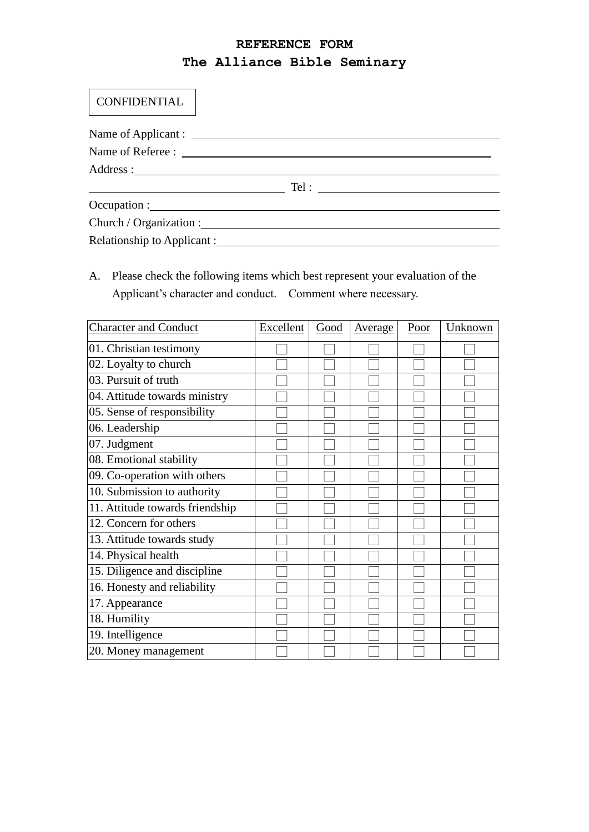## **REFERENCE FORM The Alliance Bible Seminary**

## **CONFIDENTIAL**

| <u> 1989 - Andrea Stadt Britain, amerikansk politiker (</u> |  |  |
|-------------------------------------------------------------|--|--|
|                                                             |  |  |
| Church / Organization :                                     |  |  |
| Relationship to Applicant :                                 |  |  |

A. Please check the following items which best represent your evaluation of the Applicant's character and conduct. Comment where necessary.

| <b>Character and Conduct</b>    | Excellent | Good | <u>Average</u> | Poor | Unknown |
|---------------------------------|-----------|------|----------------|------|---------|
| 01. Christian testimony         |           |      |                |      |         |
| 02. Loyalty to church           |           |      |                |      |         |
| 03. Pursuit of truth            |           |      |                |      |         |
| 04. Attitude towards ministry   |           |      |                |      |         |
| 05. Sense of responsibility     |           |      |                |      |         |
| 06. Leadership                  |           |      |                |      |         |
| 07. Judgment                    |           |      |                |      |         |
| 08. Emotional stability         |           |      |                |      |         |
| 09. Co-operation with others    |           |      |                |      |         |
| 10. Submission to authority     |           |      |                |      |         |
| 11. Attitude towards friendship |           |      |                |      |         |
| 12. Concern for others          |           |      |                |      |         |
| 13. Attitude towards study      |           |      |                |      |         |
| 14. Physical health             |           |      |                |      |         |
| 15. Diligence and discipline    |           |      |                |      |         |
| 16. Honesty and reliability     |           |      |                |      |         |
| 17. Appearance                  |           |      |                |      |         |
| 18. Humility                    |           |      |                |      |         |
| 19. Intelligence                |           |      |                |      |         |
| 20. Money management            |           |      |                |      |         |